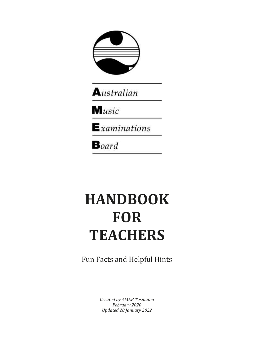

Australian

 $M<sub>usic</sub>$ 

 $\mathsf{E}$ xaminations

 $\mathbf{B}_{\textit{oard}}$ 

## **HANDBOOK FOR TEACHERS**

Fun Facts and Helpful Hints

*Created by AMEB Tasmania February 2020 Updated 28 January 2022*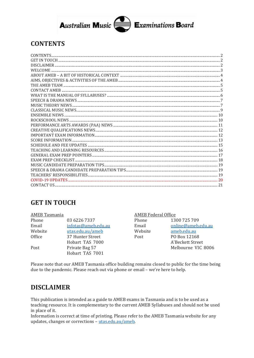# **Australian Music Examinations Board**

## <span id="page-1-0"></span>**CONTENTS**

## <span id="page-1-1"></span>**GET IN TOUCH**

| AMEB Tasmania |                     | <b>AMEB</b> Federal Office |                    |  |
|---------------|---------------------|----------------------------|--------------------|--|
| Phone         | 03 6226 7337        | Phone                      | 1300 725 709       |  |
| Email         | infotas@ameb.edu.au | Email                      | online@ameb.edu.au |  |
| Website       | utas.edu.au/ameb    | Website                    | ameb.edu.au        |  |
| Office        | 37 Hunter Street    | Post                       | PO Box 12168       |  |
|               | Hobart TAS 7000     |                            | A'Beckett Street   |  |
| Post          | Private Bag 57      |                            | Melbourne VIC 8006 |  |
|               | Hobart TAS 7001     |                            |                    |  |

Please note that our AMEB Tasmania office building remains closed to public for the time being due to the pandemic. Please reach out via phone or email - we're here to help.

## <span id="page-1-2"></span>**DISCLAIMER**

This publication is intended as a guide to AMEB exams in Tasmania and is to be used as a teaching resource. It is complementary to the current AMEB Syllabuses and should not be used in place of it.

Information is correct at time of printing. Please refer to the AMEB Tasmania website for any updates, changes or corrections - utas.edu.au/ameb.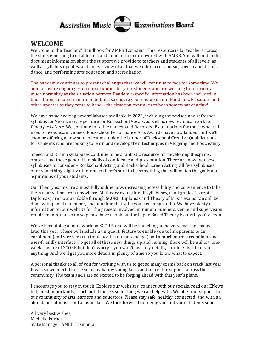

### <span id="page-2-0"></span>**WELCOME**

Welcome to the Teachers' Handbook for AMEB Tasmania. This resource is for teachers across the state, emerging to established, and familiar to undiscovered with AMEB. You will find in this document information about the support we provide to teachers and students of all levels, as well as syllabus updates, and an overview of all that we offer across music, speech and drama, dance, and performing arts education and accreditation.

The pandemic continues to present challenges that we will continue to face for some time. We aim to ensure ongoing exam opportunities for your students and are working to return to as much normality as the situation permits. Pandemic-specific information has been included in this edition, denoted in maroon but please ensure you read up on our Pandemic Processes and other updates as they come to hand – the situation continues to be in somewhat of a flux!

We have some exciting new syllabuses available in 2022, including the revised and refreshed syllabus for Violin, new repertoire for Rockschool Vocals, as well as new technical work for *Piano for Leisure*. We continue to refine and expand Recorded Exam options for those who still need to avoid exam venues. Rockschool Performance Arts Awards have now landed, and we'll soon be offering a new suite of exams under the banner of Rockschool Creative Qualifications for students who are looking to learn and develop their techniques in Vlogging and Podcasting.

Speech and Drama syllabuses continue to be a fantastic resource for developing thespians, orators, and those general life-skills of confidence and presentation. There are now two new syllabuses to consider – Rockschool Acting and Rockschool Screen Acting. All five syllabuses offer something slightly different so there's sure to be something that will match the goals and aspirations of your students.

Our Theory exams are almost fully online now, increasing accessibility and convenience to take them at any time, from anywhere. All theory exams for all syllabuses, at all grades (except Diplomas) are now available through SCORE. Diplomas and Theory of Music exams can still be done with pencil and paper, and at a time that suits your teaching studio. We have plenty of information on our website for the process involved, minimum numbers, venue and supervision requirements, and so on so please have a look out for Paper-Based Theory Exams if you're keen.

We've been doing a lot of work on SCORE, and will be launching some very exciting changes later this year. These will include a unique ID feature to enable you to link parents to an enrolment (and vice versa), a total facelift (no more beige!) and a much more streamlined and user-friendly interface. To get all of these new things up and running, there will be a short, oneweek closure of SCORE but don't worry – you won't lose any details, enrolments, history or anything. And we'll get you more details in plenty of time so you know what to expect.

A personal thanks to all of you for working with us to get so many exams back on track last year. It was so wonderful to see so many happy young faces and to feel the support across the community. The team and I are so excited to be forging ahead with this year's plans.

I encourage you to stay in touch. Explore our websites, connect with our socials, read our ENews but, most importantly, reach out if there's something we can help with. We offer our support to our community of arts learners and educators. Please stay safe, healthy, connected, and with an abundance of music and artistic flair. We look forward to seeing you and your students soon!

All very best wishes, Michelle Forbes State Manager, AMEB Tasmania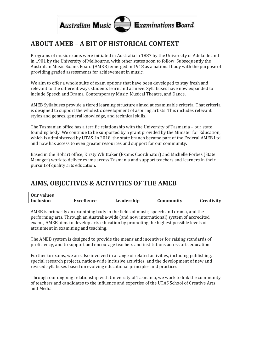

## <span id="page-3-0"></span>**ABOUT AMEB – A BIT OF HISTORICAL CONTEXT**

Programs of music exams were initiated in Australia in 1887 by the University of Adelaide and in 1901 by the University of Melbourne, with other states soon to follow. Subsequently the Australian Music Exams Board (AMEB) emerged in 1918 as a national body with the purpose of providing graded assessments for achievement in music.

We aim to offer a whole suite of exam options that have been developed to stay fresh and relevant to the different ways students learn and achieve. Syllabuses have now expanded to include Speech and Drama, Contemporary Music, Musical Theatre, and Dance.

AMEB Syllabuses provide a tiered learning structure aimed at examinable criteria. That criteria is designed to support the wholistic development of aspiring artists. This includes relevant styles and genres, general knowledge, and technical skills.

The Tasmanian office has a terrific relationship with the University of Tasmania – our state founding body. We continue to be supported by a grant provided by the Minister for Education, which is administered by UTAS. In 2018, the state branch became part of the Federal AMEB Ltd and now has access to even greater resources and support for our community.

Based in the Hobart office, Kirsty Whittaker (Exams Coordinator) and Michelle Forbes (State Manager) work to deliver exams across Tasmania and support teachers and learners in their pursuit of quality arts education.

## <span id="page-3-1"></span>**AIMS, OBJECTIVES & ACTIVITIES OF THE AMEB**

| <b>Our values</b> |                   |            |           |                   |
|-------------------|-------------------|------------|-----------|-------------------|
| <b>Inclusion</b>  | <b>Excellence</b> | Leadership | Community | <b>Creativity</b> |

AMEB is primarily an examining body in the fields of music, speech and drama, and the performing arts. Through an Australia-wide (and now international) system of accredited exams, AMEB aims to develop arts education by promoting the highest possible levels of attainment in examining and teaching.

The AMEB system is designed to provide the means and incentives for raising standards of proficiency, and to support and encourage teachers and institutions across arts education.

Further to exams, we are also involved in a range of related activities, including publishing, special research projects, nation-wide inclusive activities, and the development of new and revised syllabuses based on evolving educational principles and practices.

Through our ongoing relationship with University of Tasmania, we work to link the community of teachers and candidates to the influence and expertise of the UTAS School of Creative Arts and Media.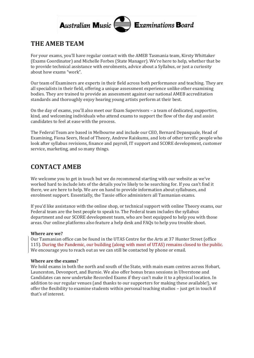

## <span id="page-4-0"></span>**THE AMEB TEAM**

For your exams, you'll have regular contact with the AMEB Tasmania team, Kirsty Whittaker (Exams Coordinator) and Michelle Forbes (State Manager). We're here to help, whether that be to provide technical assistance with enrolments, advice about a Syllabus, or just a curiosity about how exams "work".

Our team of Examiners are experts in their field across both performance and teaching. They are all specialists in their field, offering a unique assessment experience unlike other examining bodies. They are trained to provide an assessment against our national AMEB accreditation standards and thoroughly enjoy hearing young artists perform at their best.

On the day of exams, you'll also meet our Exam Supervisors – a team of dedicated, supportive, kind, and welcoming individuals who attend exams to support the flow of the day and assist candidates to feel at ease with the process.

The Federal Team are based in Melbourne and include our CEO, Bernard Depasquale, Head of Examining, Fiona Seers, Head of Theory, Andrew Raiskums, and lots of other terrific people who look after syllabus revisions, finance and payroll, IT support and SCORE development, customer service, marketing, and so many things.

## <span id="page-4-1"></span>**CONTACT AMEB**

We welcome you to get in touch but we do recommend starting with our website as we've worked hard to include lots of the details you're likely to be searching for. If you can't find it there, we are here to help. We are on hand to provide information about syllabuses, and enrolment support. Essentially, the Tassie office administers all Tasmanian exams.

If you'd like assistance with the online shop, or technical support with online Theory exams, our Federal team are the best people to speak to. The Federal team includes the syllabus department and our SCORE development team, who are best equipped to help you with those areas. Our online platforms also feature a help desk and FAQs to help you trouble shoot.

#### **Where are we?**

Our Tasmanian office can be found in the UTAS Centre for the Arts at 37 Hunter Street (office 115). During the Pandemic, our building (along with most of UTAS) remains closed to the public. We encourage you to reach out as we can still be contacted by phone or email.

#### **Where are the exams?**

We hold exams in both the north and south of the State, with main exam centres across Hobart, Launceston, Devonport, and Burnie. We also offer bonus brass sessions in Ulverstone and Candidates can now undertake Recorded Exams if they can't make it to a physical location. In addition to our regular venues (and thanks to our supporters for making these available!), we offer the flexibility to examine students within personal teaching studios – just get in touch if that's of interest.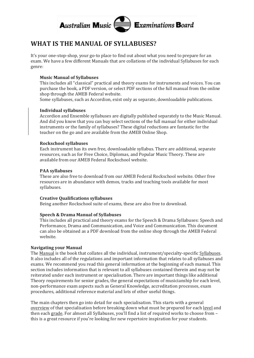

## <span id="page-5-0"></span>**WHAT IS THE MANUAL OF SYLLABUSES?**

It's your one-stop-shop, your go-to place to find out about what you need to prepare for an exam. We have a few different Manuals that are collations of the individual Syllabuses for each genre:

#### **Music Manual of Syllabuses**

This includes all "classical" practical and theory exams for instruments and voices. You can purchase the book, a PDF version, or select PDF sections of the full manual from the online shop through the AMEB Federal website.

Some syllabuses, such as Accordion, exist only as separate, downloadable publications.

#### **Individual syllabuses**

Accordion and Ensemble syllabuses are digitally published separately to the Music Manual. And did you know that you can buy select sections of the full manual for either individual instruments or the family of syllabuses? These digital reductions are fantastic for the teacher on the go and are available from the AMEB Online Shop.

#### **Rockschool syllabuses**

Each instrument has its own free, downloadable syllabus. There are additional, separate resources, such as for Free Choice, Diplomas, and Popular Music Theory. These are available from our AMEB Federal Rockschool website.

#### **PAA syllabuses**

These are also free to download from our AMEB Federal Rockschool website. Other free resources are in abundance with demos, tracks and teaching tools available for most syllabuses.

#### **Creative Qualifications syllabuses**

Being another Rockschool suite of exams, these are also free to download.

#### **Speech & Drama Manual of Syllabuses**

This includes all practical and theory exams for the Speech & Drama Syllabuses: Speech and Performance, Drama and Communication, and Voice and Communication. This document can also be obtained as a PDF download from the online shop through the AMEB Federal website.

#### **Navigating your Manual**

The Manual is the book that collates all the individual, instrument/specialty-specific Syllabuses. It also includes all of the regulations and important information that relates to all syllabuses and exams. We recommend you read this general information at the beginning of each manual. This section includes information that is relevant to all syllabuses contained therein and may not be reiterated under each instrument or specialisation. There are important things like additional Theory requirements for senior grades, the general expectations of musicianship for each level, non-performance exam aspects such as General Knowledge, accreditation processes, exam procedures, additional reference material and lots of other useful things.

The main chapters then go into detail for each specialisation. This starts with a general overview of that specialisation before breaking down what must be prepared for each level and then each grade. For almost all Syllabuses, you'll find a list of required works to choose from – this is a great resource if you're looking for new repertoire inspiration for your students.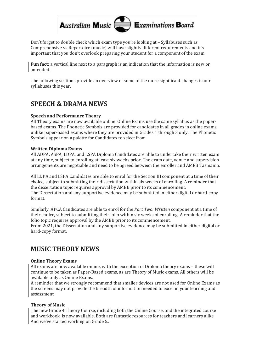

Don't forget to double check which exam type you're looking at – Syllabuses such as Comprehensive vs Repertoire (music) will have slightly different requirements and it's important that you don't overlook preparing your student for a component of the exam.

**Fun fact:** a vertical line next to a paragraph is an indication that the information is new or amended.

The following sections provide an overview of some of the more significant changes in our syllabuses this year.

## <span id="page-6-0"></span>**SPEECH & DRAMA NEWS**

#### **Speech and Performance Theory**

All Theory exams are now available online. Online Exams use the same syllabus as the paperbased exams. The Phonetic Symbols are provided for candidates in all grades in online exams, unlike paper-based exams where they are provided in Grades 1 through 3 only. The Phonetic Symbols appear on a palette for Candidates to select from.

#### **Written Diploma Exams**

All ADPA, ASPA, LDPA, and LSPA Diploma Candidates are able to undertake their written exam at any time, subject to enrolling at least six weeks prior. The exam date, venue and supervision arrangements are negotiable and need to be agreed between the enroller and AMEB Tasmania.

All LDPA and LSPA Candidates are able to enrol for the Section III component at a time of their choice, subject to submitting their dissertation within six weeks of enrolling. A reminder that the dissertation topic requires approval by AMEB prior to its commencement. The Dissertation and any supportive evidence may be submitted in either digital or hard-copy format.

Similarly, APCA Candidates are able to enrol for the *Part Two: Written* component at a time of their choice, subject to submitting their folio within six weeks of enrolling. A reminder that the folio topic requires approval by the AMEB prior to its commencement.

From 2021, the Dissertation and any supportive evidence may be submitted in either digital or hard-copy format.

## <span id="page-6-1"></span>**MUSIC THEORY NEWS**

#### **Online Theory Exams**

All exams are now available online, with the exception of Diploma theory exams – these will continue to be taken as Paper-Based exams, as are Theory of Music exams. All others will be available only as Online Exams.

A reminder that we strongly recommend that smaller devices are not used for Online Exams as the screens may not provide the breadth of information needed to excel in your learning and assessment.

#### **Theory of Music**

The new Grade 4 Theory Course, including both the Online Course, and the integrated course and workbook, is now available. Both are fantastic resources for teachers and learners alike. And we've started working on Grade 5...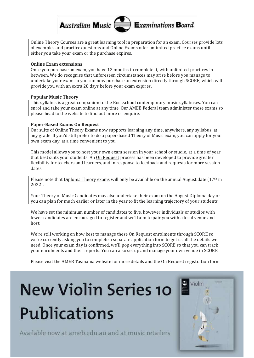

Online Theory Courses are a great learning tool in preparation for an exam. Courses provide lots of examples and practice questions and Online Exams offer unlimited practice exams until either you take your exam or the purchase expires.

#### **Online Exam extensions**

Once you purchase an exam, you have 12 months to complete it, with unlimited practices in between. We do recognise that unforeseen circumstances may arise before you manage to undertake your exam so you can now purchase an extension directly through SCORE, which will provide you with an extra 28 days before your exam expires.

#### **Popular Music Theory**

This syllabus is a great companion to the Rockschool contemporary music syllabuses. You can enrol and take your exam online at any time. Our AMEB Federal team administer these exams so please head to the website to find out more or enquire.

#### **Paper-Based Exams On Request**

Our suite of Online Theory Exams now supports learning any time, anywhere, any syllabus, at any grade. If you'd still prefer to do a paper-based Theory of Music exam, you can apply for your own exam day, at a time convenient to you.

This model allows you to host your own exam session in your school or studio, at a time of year that best suits your students. An On Request process has been developed to provide greater flexibility for teachers and learners, and in response to feedback and requests for more session dates.

Please note that Diploma Theory exams will only be available on the annual August date  $(17<sup>th</sup>$  in 2022).

Your Theory of Music Candidates may also undertake their exam on the August Diploma day or you can plan for much earlier or later in the year to fit the learning trajectory of your students.

We have set the minimum number of candidates to five, however individuals or studios with fewer candidates are encouraged to register and we'll aim to pair you with a local venue and host.

We're still working on how best to manage these On Request enrolments through SCORE so we're currently asking you to complete a separate application form to get us all the details we need. Once your exam day is confirmed, we'll pop everything into SCORE so that you can track your enrolments and their reports. You can also set up and manage your own venue in SCORE.

Please visit the AMEB Tasmania website for more details and the On Request registration form.

# **New Violin Series 10 Publications**

Available now at ameb.edu.au and at music retailers

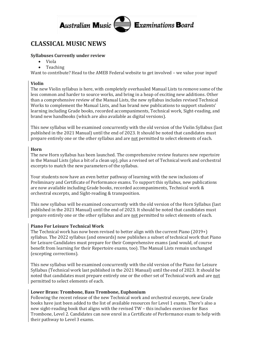

## <span id="page-8-0"></span>**CLASSICAL MUSIC NEWS**

#### **Syllabuses Currently under review**

- Viola
- Teaching

Want to contribute? Head to the AMEB Federal website to get involved – we value your input!

#### **Violin**

The new Violin syllabus is here, with completely overhauled Manual Lists to remove some of the less common and harder to source works, and bring in a heap of exciting new additions. Other than a comprehensive review of the Manual Lists, the new syllabus includes revised Technical Works to complement the Manual Lists, and has brand new publications to support students' learning including Grade books, recorded accompaniments, Technical work, Sight-reading, and brand new handbooks (which are also available as digital versions).

This new syllabus will be examined concurrently with the old version of the Violin Syllabus (last published in the 2021 Manual) until the end of 2023. It should be noted that candidates must prepare entirely one or the other syllabus and are not permitted to select elements of each.

#### **Horn**

The new Horn syllabus has been launched. The comprehensive review features new repertoire in the Manual Lists (plus a bit of a clean up), plus a revised set of Technical work and orchestral excerpts to match the new parameters of the syllabus.

Your students now have an even better pathway of learning with the new inclusions of Preliminary and Certificate of Performance exams. To support this syllabus, new publications are now available including Grade books, recorded accompaniments, Technical work & orchestral excerpts, and Sight-reading & transposition.

This new syllabus will be examined concurrently with the old version of the Horn Syllabus (last published in the 2021 Manual) until the end of 2023. It should be noted that candidates must prepare entirely one or the other syllabus and are not permitted to select elements of each.

#### **Piano For Leisure Technical Work**

The Technical work has now been revised to better align with the current Piano (2019+) syllabus. The 2022 syllabus (and onwards) now publishes a subset of technical work that Piano for Leisure Candidates must prepare for their Comprehensive exams (and would, of course benefit from learning for their Repertoire exams, too). The Manual Lists remain unchanged (excepting corrections).

This new syllabus will be examined concurrently with the old version of the Piano for Leisure Syllabus (Technical work last published in the 2021 Manual) until the end of 2023. It should be noted that candidates must prepare entirely one or the other set of Technical work and are not permitted to select elements of each.

#### **Lower Brass: Trombone, Bass Trombone, Euphonium**

Following the recent release of the new Technical work and orchestral excerpts, new Grade books have just been added to the list of available resources for Level 1 exams. There's also a new sight-reading book that aligns with the revised TW – this includes exercises for Bass Trombone, Level 2. Candidates can now enrol in a Certificate of Performance exam to help with their pathway to Level 3 exams.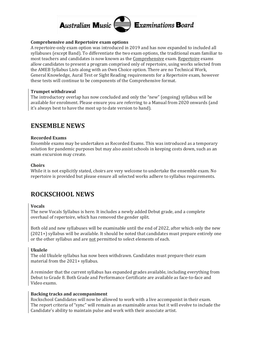

#### **Comprehensive and Repertoire exam options**

A repertoire-only exam option was introduced in 2019 and has now expanded to included all syllabuses (except Band). To differentiate the two exam options, the traditional exam familiar to most teachers and candidates is now known as the Comprehensive exam. Repertoire exams allow candidates to present a program comprised only of repertoire, using works selected from the AMEB Syllabus Lists along with an Own Choice option. There are no Technical Work, General Knowledge, Aural Test or Sight Reading requirements for a Repertoire exam, however these tests will continue to be components of the Comprehensive format.

#### **Trumpet withdrawal**

The introductory overlap has now concluded and only the "new" (ongoing) syllabus will be available for enrolment. Please ensure you are referring to a Manual from 2020 onwards (and it's always best to have the most up to date version to hand).

## <span id="page-9-0"></span>**ENSEMBLE NEWS**

#### **Recorded Exams**

Ensemble exams may be undertaken as Recorded Exams. This was introduced as a temporary solution for pandemic purposes but may also assist schools in keeping costs down, such as an exam excursion may create.

#### **Choirs**

While it is not explicitly stated, choirs are very welcome to undertake the ensemble exam. No repertoire is provided but please ensure all selected works adhere to syllabus requirements.

## <span id="page-9-1"></span>**ROCKSCHOOL NEWS**

#### **Vocals**

The new Vocals Syllabus is here. It includes a newly added Debut grade, and a complete overhaul of repertoire, which has removed the gender split.

Both old and new syllabuses will be examinable until the end of 2022, after which only the new (2021+) syllabus will be available. It should be noted that candidates must prepare entirely one or the other syllabus and are not permitted to select elements of each.

#### **Ukulele**

The old Ukulele syllabus has now been withdrawn. Candidates must prepare their exam material from the 2021+ syllabus.

A reminder that the current syllabus has expanded grades available, including everything from Debut to Grade 8. Both Grade and Performance Certificate are available as face-to-face and Video exams.

#### **Backing tracks and accompaniment**

Rockschool Candidates will now be allowed to work with a live accompanist in their exam. The report criteria of "sync" will remain as an examinable areas but it will evolve to include the Candidate's ability to maintain pulse and work with their associate artist.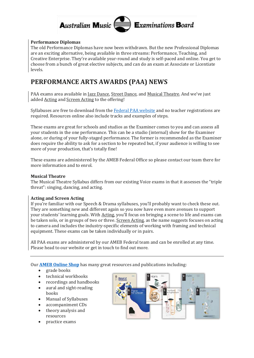

#### **Performance Diplomas**

The old Performance Diplomas have now been withdrawn. But the new Professional Diplomas are an exciting alternative, being available in three streams: Performance, Teaching, and Creative Enterprise. They're available year-round and study is self-paced and online. You get to choose from a bunch of great elective subjects, and can do an exam at Associate or Licentiate levels.

## <span id="page-10-0"></span>**PERFORMANCE ARTS AWARDS (PAA) NEWS**

PAA exams area available in Jazz Dance, Street Dance, and Musical Theatre. And we've just added Acting and Screen Acting to the offering!

Syllabuses are free to download from th[e Federal PAA website](https://rockschool.ameb.edu.au/paa/) and no teacher registrations are required. Resources online also include tracks and examples of steps.

These exams are great for schools and studios as the Examiner comes to you and can assess all your students in the one performance. This can be a studio (internal) show for the Examiner alone, or during of your fully-staged performance. The former is recommended as the Examiner does require the ability to ask for a section to be repeated but, if your audience is willing to see more of your production, that's totally fine!

These exams are administered by the AMEB Federal Office so please contact our team there for more information and to enrol.

#### **Musical Theatre**

The Musical Theatre Syllabus differs from our existing Voice exams in that it assesses the "triple threat": singing, dancing, and acting.

#### **Acting and Screen Acting**

If you're familiar with our Speech & Drama syllabuses, you'll probably want to check these out. They are something new and different again so you now have even more avenues to support your students' learning goals. With Acting, you'll focus on bringing a scene to life and exams can be taken solo, or in groups of two or three. Screen Acting, as the name suggests focuses on acting to camera and includes the industry-specific elements of working with framing and technical equipment. These exams can be taken individually or in pairs.

All PAA exams are administered by our AMEB Federal team and can be enrolled at any time. Please head to our website or get in touch to find out more.

Our **AMEB [Online Shop](https://www.ameb.edu.au/)** has many great resources and publications including:

- grade books
- technical workbooks
- recordings and handbooks
- aural and sight-reading books
- Manual of Syllabuses
- accompaniment CDs
- theory analysis and resources
- practice exams

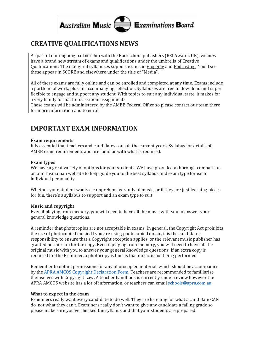

## <span id="page-11-0"></span>**CREATIVE QUALIFICATIONS NEWS**

As part of our ongoing partnership with the Rockschool publishers (RSLAwards UK), we now have a brand new stream of exams and qualifications under the umbrella of Creative Qualifications. The inaugural syllabuses support exams in Vlogging and Podcasting. You'll see these appear in SCORE and elsewhere under the title of "Media".

All of these exams are fully online and can be enrolled and completed at any time. Exams include a portfolio of work, plus an accompanying reflection. Syllabuses are free to download and super flexible to engage and support any student. With topics to suit any individual taste, it makes for a very handy format for classroom assignments.

These exams will be administered by the AMEB Federal Office so please contact our team there for more information and to enrol.

## <span id="page-11-1"></span>**IMPORTANT EXAM INFORMATION**

#### **Exam requirements**

It is essential that teachers and candidates consult the current year's Syllabus for details of AMEB exam requirements and are familiar with what is required.

#### **Exam types**

We have a great variety of options for your students. We have provided a thorough comparison on our Tasmanian website to help guide you to the best syllabus and exam type for each individual personality.

Whether your student wants a comprehensive study of music, or if they are just learning pieces for fun, there's a syllabus to support and an exam type to suit.

#### **Music and copyright**

Even if playing from memory, you will need to have all the music with you to answer your general knowledge questions.

A reminder that photocopies are not acceptable in exams. In general, the Copyright Act prohibits the use of photocopied music. If you are using photocopied music, it is the candidate's responsibility to ensure that a Copyright exception applies, or the relevant music publisher has granted permission for the copy. Even if playing from memory, you will need to have all the original music with you to answer your general knowledge questions. If an extra copy is required for the Examiner, a photocopy is fine as that music is not being performed.

Remember to obtain permissions for any photocopied material, which should be accompanied by th[e APRA AMCOS Copyright Declaration Form.](https://onemusic.com.au/media/Information-Sheets/Copyright-Declaration-Form.pdf) Teachers are recommended to familiarise themselves with Copyright Law. A teacher handbook is currently under review however the APRA AMCOS website has a lot of information, or teachers can emai[l schools@apra.com.au.](mailto:schools@apra.com.au)

#### **What to expect in the exam**

Examiners really want every candidate to do well. They are listening for what a candidate CAN do, not what they can't. Examiners really don't want to give any candidate a failing grade so please make sure you've checked the syllabus and that your students are prepared.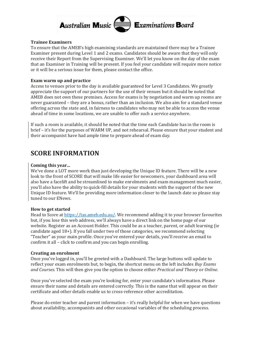

#### **Trainee Examiners**

To ensure that the AMEB's high examining standards are maintained there may be a Trainee Examiner present during Level 1 and 2 exams. Candidates should be aware that they will only receive their Report from the Supervising Examiner. We'll let you know on the day of the exam that an Examiner in Training will be present. If you feel your candidate will require more notice or it will be a serious issue for them, please contact the office.

#### **Exam warm up and practice**

Access to venues prior to the day is available guaranteed for Level 3 Candidates. We greatly appreciate the support of our partners for the use of their venues but it should be noted that AMEB does not own these premises. Access for exams is by negotiation and warm up rooms are never guaranteed – they are a bonus, rather than an inclusion. We also aim for a standard venue offering across the state and, in fairness to candidates who may not be able to access the venue ahead of time in some locations, we are unable to offer such a service anywhere.

If such a room is available, it should be noted that the time each Candidate has in the room is brief – it's for the purposes of WARM UP, and not rehearsal. Please ensure that your student and their accompanist have had ample time to prepare ahead of exam day.

## <span id="page-12-0"></span>**SCORE INFORMATION**

#### **Coming this year...**

We've done a LOT more work than just developing the Unique ID feature. There will be a new look to the front of SCORE that will make life easier for newcomers, your dashboard area will also have a facelift and be streamlined to make enrolments and exam management much easier, you'll also have the ability to quick-fill details for your students with the support of the new Unique ID feature. We'll be providing more information closer to the launch date so please stay tuned to our ENews.

#### **How to get started**

Head to Score at [https://tas.ameb.edu.au/.](https://tas.ameb.edu.au/) We recommend adding it to your browser favourites but, if you lose this web address, we'll always have a direct link on the home page of our website. Register as an Account Holder. This could be as a teacher, parent, or adult learning (ie candidate aged 18+). If you fall under two of those categories, we recommend selecting "Teacher" as your main profile. Once you've entered your details, you'll receive an email to confirm it all – click to confirm and you can begin enrolling.

#### **Creating an enrolment**

Once you've logged in, you'll be greeted with a Dashboard. The large buttons will update to reflect your exam enrolments but, to begin, the shortcut menu on the left includes *Buy Exams and Courses*. This will then give you the option to choose either *Practical and Theory* or *Online*.

Once you've selected the exam you're looking for, enter your candidate's information. Please ensure their name and details are entered correctly. This is the name that will appear on their certificate and other details enable us to cross-reference other accreditation.

Please do enter teacher and parent information – it's really helpful for when we have questions about availability, accompanists and other occasional variables of the scheduling process.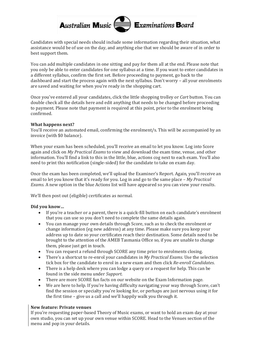## **Australian Music Examinations Board**

Candidates with special needs should include some information regarding their situation, what assistance would be of use on the day, and anything else that we should be aware of in order to best support them.

You can add multiple candidates in one sitting and pay for them all at the end. Please note that you only be able to enter candidates for one syllabus at a time. If you want to enter candidates in a different syllabus, confirm the first set. Before proceeding to payment, go back to the dashboard and start the process again with the next syllabus. Don't worry – all your enrolments are saved and waiting for when you're ready in the shopping cart.

Once you've entered all your candidates, click the little shopping trolley or *Cart* button. You can double check all the details here and edit anything that needs to be changed before proceeding to payment. Please note that payment is required at this point, prior to the enrolment being confirmed.

#### **What happens next?**

You'll receive an automated email, confirming the enrolment/s. This will be accompanied by an invoice (with \$0 balance).

When your exam has been scheduled, you'll receive an email to let you know. Log into Score again and click on *My Practical Exams* to view and download the exam time, venue, and other information. You'll find a link to this in the little, blue, actions cog next to each exam. You'll also need to print this notification (single-sided) for the candidate to take on exam day.

Once the exam has been completed, we'll upload the Examiner's Report. Again, you'll receive an email to let you know that it's ready for you. Log in and go to the same place – *My Practical Exams*. A new option in the blue Actions list will have appeared so you can view your results.

We'll then post out (eligible) certificates as normal.

#### **Did you know…**

- If you're a teacher or a parent, there is a quick-fill button on each candidate's enrolment that you can use so you don't need to complete the same details again.
- You can manage your own details through Score, such as to check the enrolment or change information (eg new address) at any time. Please make sure you keep your address up to date so your certificates reach their destination. Some details need to be brought to the attention of the AMEB Tasmania Office so, if you are unable to change them, please just get in touch.
- You can request a refund through SCORE any time prior to enrolments closing.
- There's a shortcut to re-enrol your candidates in *My Practical Exams*. Use the selection tick box for the candidate to enrol in a new exam and then click *Re-enroll Candidates*.
- There is a help desk where you can lodge a query or a request for help. This can be found in the side menu under *Support.*
- There are more SCORE fun facts on our website on the Exam Information page.
- We are here to help. If you're having difficulty navigating your way through Score, can't find the session or specialty you're looking for, or perhaps are just nervous using it for the first time – give us a call and we'll happily walk you through it.

#### **New feature: Private venues**

If you're requesting paper-based Theory of Music exams, or want to hold an exam day at your own studio, you can set up your own venue within SCORE. Head to the Venues section of the menu and pop in your details.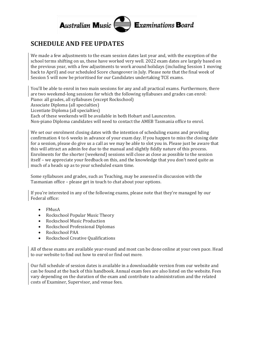

## <span id="page-14-0"></span>**SCHEDULE AND FEE UPDATES**

We made a few adjustments to the exam session dates last year and, with the exception of the school terms shifting on us, these have worked very well. 2022 exam dates are largely based on the previous year, with a few adjustments to work around holidays (including Session 1 moving back to April) and our scheduled Score changeover in July. Please note that the final week of Session 5 will now be prioritised for our Candidates undertaking TCE exams.

You'll be able to enrol in two main sessions for any and all practical exams. Furthermore, there are two weekend-long sessions for which the following syllabuses and grades can enrol: Piano: all grades, all syllabuses (except Rockschool) Associate Diploma (all specialties) Licentiate Diploma (all specialties) Each of these weekends will be available in both Hobart and Launceston. Non-piano Diploma candidates will need to contact the AMEB Tasmania office to enrol.

We set our enrolment closing dates with the intention of scheduling exams and providing confirmation 4 to 6 weeks in advance of your exam day. If you happen to miss the closing date for a session, please do give us a call as we may be able to slot you in. Please just be aware that this will attract an admin fee due to the manual and slightly fiddly nature of this process. Enrolments for the shorter (weekend) sessions will close as close as possible to the session itself – we appreciate your feedback on this, and the knowledge that you don't need quite as much of a heads up as to your scheduled exam time.

Some syllabuses and grades, such as Teaching, may be assessed in discussion with the Tasmanian office – please get in touch to chat about your options.

If you're interested in any of the following exams, please note that they're managed by our Federal office:

- FMusA
- Rockschool Popular Music Theory
- Rockschool Music Production
- Rockschool Professional Diplomas
- Rockschool PAA
- Rockschool Creative Qualifications

All of these exams are available year-round and most can be done online at your own pace. Head to our website to find out how to enrol or find out more.

Our full schedule of session dates is available in a downloadable version from our website and can be found at the back of this handbook. Annual exam fees are also listed on the website. Fees vary depending on the duration of the exam and contribute to administration and the related costs of Examiner, Supervisor, and venue fees.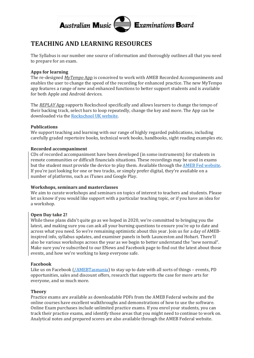

## <span id="page-15-0"></span>**TEACHING AND LEARNING RESOURCES**

The Syllabus is our number one source of information and thoroughly outlines all that you need to prepare for an exam.

#### **Apps for learning**

The re-designed *MyTempo* App is conceived to work with AMEB Recorded Accompaniments and enables the user to change the speed of the recording for enhanced practice. The new MyTempo app features a range of new and enhanced functions to better support students and is available for both Apple and Android devices.

The *REPLAY* App supports Rockschool specifically and allows learners to change the tempo of their backing track, select bars to loop repeatedly, change the key and more. The App can be downloaded via the [Rockschool UK website.](https://cloud.rslawards.com/shop/replay)

#### **Publications**

We support teaching and learning with our range of highly regarded publications, including carefully graded repertoire books, technical work books, handbooks, sight reading examples etc.

#### **Recorded accompaniment**

CDs of recorded accompaniment have been developed (in some instruments) for students in remote communities or difficult financials situations. These recordings may be used in exams but the student must provide the device to play them. Available through th[e AMEB Fed website.](https://www.ameb.edu.au/shop/syllabuses-study-resources/ameb-recorded-accompaniments.html) If you're just looking for one or two tracks, or simply prefer digital, they're available on a number of platforms, such as iTunes and Google Play.

#### **Workshops, seminars and masterclasses**

We aim to curate workshops and seminars on topics of interest to teachers and students. Please let us know if you would like support with a particular teaching topic, or if you have an idea for a workshop.

#### **Open Day take 2!**

While these plans didn't quite go as we hoped in 2020, we're committed to bringing you the latest, and making sure you can ask all your burning questions to ensure you're up to date and across what you need. So we're remaining optimistic about this year. Join us for a day of AMEBinspired info, syllabus updates, and examiner panels in both Launceston and Hobart. There'll also be various workshops across the year as we begin to better understand the "new normal". Make sure you're subscribed to our ENews and Facebook page to find out the latest about those events, and how we're working to keep everyone safe.

#### **Facebook**

Like us on Facebook [\(/AMEBTasmania\)](https://www.facebook.com/AMEBTasmania) to stay up to date with all sorts of things – events, PD opportunities, sales and discount offers, research that supports the case for more arts for everyone, and so much more.

#### **Theory**

Practice exams are available as downloadable PDFs from the AMEB Federal website and the online courses have excellent walkthroughs and demonstrations of how to use the software. Online Exam purchases include unlimited practice exams. If you enrol your students, you can track their practice exams, and identify those areas that you might need to continue to work on. Analytical notes and prepared scores are also available through the AMEB Federal website.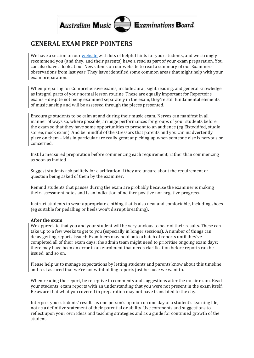

## <span id="page-16-0"></span>**GENERAL EXAM PREP POINTERS**

We have a section on our [website](https://www.utas.edu.au/australian-music-examinations-board/subjects-and-syllabuses/helpful-hints) with lots of helpful hints for your students, and we strongly recommend you (and they, and their parents) have a read as part of your exam preparation. You can also have a look at our News items on our website to read a summary of our Examiners' observations from last year. They have identified some common areas that might help with your exam preparation.

When preparing for Comprehensive exams, include aural, sight reading, and general knowledge as integral parts of your normal lesson routine. These are equally important for Repertoire exams – despite not being examined separately in the exam, they're still fundamental elements of musicianship and will be assessed through the pieces presented.

Encourage students to be calm at and during their music exam. Nerves can manifest in all manner of ways so, where possible, arrange performances for groups of your students before the exam so that they have some opportunities to present to an audience (eg Eisteddfod, studio soiree, mock exam). And be mindful of the stressors that parents and you can inadvertently place on them – kids in particular are really great at picking up when someone else is nervous or concerned.

Instil a measured preparation before commencing each requirement, rather than commencing as soon as invited.

Suggest students ask politely for clarification if they are unsure about the requirement or question being asked of them by the examiner.

Remind students that pauses during the exam are probably because the examiner is making their assessment notes and is an indication of neither positive nor negative progress.

Instruct students to wear appropriate clothing that is also neat and comfortable, including shoes (eg suitable for pedalling or heels won't disrupt breathing).

#### **After the exam**

We appreciate that you and your student will be very anxious to hear of their results. These can take up to a few weeks to get to you (especially in longer sessions). A number of things can delay getting reports issued: Examiners may hold onto a batch of reports until they've completed all of their exam days; the admin team might need to prioritise ongoing exam days; there may have been an error in an enrolment that needs clarification before reports can be issued; and so on.

Please help us to manage expectations by letting students and parents know about this timeline and rest assured that we're not withholding reports just because we want to.

When reading the report, be receptive to comments and suggestions after the music exam. Read your students' exam reports with an understanding that you were not present in the exam itself. Be aware that what you covered in preparation may not have translated to the day.

Interpret your students' results as one person's opinion on one day of a student's learning life, not as a definitive statement of their potential or ability. Use comments and suggestions to reflect upon your own ideas and teaching strategies and as a guide for continued growth of the student.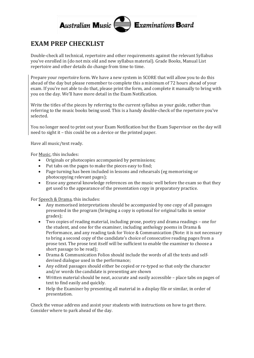

## <span id="page-17-0"></span>**EXAM PREP CHECKLIST**

Double-check all technical, repertoire and other requirements against the relevant Syllabus you've enrolled in (do not mix old and new syllabus material). Grade Books, Manual List repertoire and other details do change from time to time.

Prepare your repertoire form. We have a new system in SCORE that will allow you to do this ahead of the day but please remember to complete this a minimum of 72 hours ahead of your exam. If you're not able to do that, please print the form, and complete it manually to bring with you on the day. We'll have more detail in the Exam Notification.

Write the titles of the pieces by referring to the current syllabus as your guide, rather than referring to the music books being used. This is a handy double-check of the repertoire you've selected.

You no longer need to print out your Exam Notification but the Exam Supervisor on the day will need to sight it – this could be on a device or the printed paper.

Have all music/text ready.

For Music, this includes:

- Originals or photocopies accompanied by permissions;
- Put tabs on the pages to make the pieces easy to find;
- Page turning has been included in lessons and rehearsals (eg memorising or photocopying relevant pages);
- Erase any general knowledge references on the music well before the exam so that they get used to the appearance of the presentation copy in preparatory practice.

For Speech & Drama, this includes:

- Any memorised interpretations should be accompanied by one copy of all passages presented in the program (bringing a copy is optional for original talks in senior grades);
- Two copies of reading material, including prose, poetry and drama readings one for the student, and one for the examiner, including anthology poems in Drama & Performance, and any reading task for Voice & Communication (Note: it is not necessary to bring a second copy of the candidate's choice of consecutive reading pages from a prose text. The prose text itself will be sufficient to enable the examiner to choose a short passage to be read);
- Drama & Communication Folios should include the words of all the texts and selfdevised dialogue used in the performance;
- Any edited passages should either be copied or re-typed so that only the character and/or words the candidate is presenting are shown
- Written material should be neat, accurate and easily accessible place tabs on pages of text to find easily and quickly.
- Help the Examiner by presenting all material in a display file or similar, in order of presentation.

Check the venue address and assist your students with instructions on how to get there. Consider where to park ahead of the day.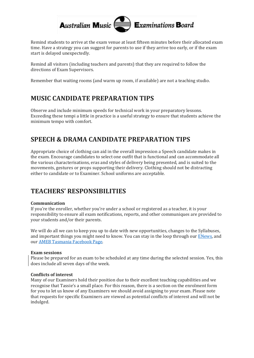

Remind students to arrive at the exam venue at least fifteen minutes before their allocated exam time. Have a strategy you can suggest for parents to use if they arrive too early, or if the exam start is delayed unexpectedly.

Remind all visitors (including teachers and parents) that they are required to follow the directions of Exam Supervisors.

Remember that waiting rooms (and warm up room, if available) are not a teaching studio.

## <span id="page-18-0"></span>**MUSIC CANDIDATE PREPARATION TIPS**

Observe and include minimum speeds for technical work in your preparatory lessons. Exceeding these tempi a little in practice is a useful strategy to ensure that students achieve the minimum tempo with comfort.

## <span id="page-18-1"></span>**SPEECH & DRAMA CANDIDATE PREPARATION TIPS**

Appropriate choice of clothing can aid in the overall impression a Speech candidate makes in the exam. Encourage candidates to select one outfit that is functional and can accommodate all the various characterisations, eras and styles of delivery being presented, and is suited to the movements, gestures or props supporting their delivery. Clothing should not be distracting either to candidate or to Examiner. School uniforms are acceptable.

## <span id="page-18-2"></span>**TEACHERS' RESPONSIBILITIES**

#### **Communication**

If you're the enroller, whether you're under a school or registered as a teacher, it is your responsibility to ensure all exam notifications, reports, and other communiques are provided to your students and/or their parents.

We will do all we can to keep you up to date with new opportunities, changes to the Syllabuses, and important things you might need to know. You can stay in the loop through our [ENews,](https://www.utas.edu.au/australian-music-examinations-board/news-and-events2/events/ameb-2020-open-days) and our [AMEB Tasmania Facebook Page.](https://www.facebook.com/AMEBTasmania)

#### **Exam sessions**

Please be prepared for an exam to be scheduled at any time during the selected session. Yes, this does include all seven days of the week.

#### **Conflicts of interest**

Many of our Examiners hold their position due to their excellent teaching capabilities and we recognise that Tassie's a small place. For this reason, there is a section on the enrolment form for you to let us know of any Examiners we should avoid assigning to your exam. Please note that requests for specific Examiners are viewed as potential conflicts of interest and will not be indulged.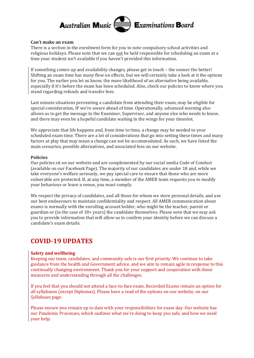

#### **Can't make an exam**

There is a section in the enrolment form for you to note compulsory school activities and religious holidays. Please note that we can not be held responsible for scheduling an exam at a time your student isn't available if you haven't provided this information.

If something comes up and availability changes, please get in touch – the sooner the better! Shifting an exam time has many flow on effects, but we will certainly take a look at it the options for you. The earlier you let us know, the more likelihood of an alternative being available, especially if it's before the exam has been scheduled. Also, check our policies to know where you stand regarding refunds and transfer fees.

Last minute situations preventing a candidate from attending their exam, may be eligible for special consideration, IF we're aware ahead of time. Operationally, advanced warning also allows us to get the message to the Examiner, Supervisor, and anyone else who needs to know, and there may even be a hopeful candidate waiting in the wings for your timeslot.

We appreciate that life happens and, from time to time, a change may be needed to your scheduled exam time. There are a lot of considerations that go into setting these times and many factors at play that may mean a change can not be accommodated. As such, we have listed the main scenarios, possible alternatives, and associated fees on our website.

#### **Policies**

Our policies sit on our website and are complemented by our social media Code of Conduct (available on our Facebook Page). The majority of our candidates are under 18 and, while we take everyone's welfare seriously, we pay special care to ensure that those who are more vulnerable are protected. If, at any time, a member of the AMEB team requests you to modify your behaviour or leave a venue, you must comply.

We respect the privacy of candidates, and all those for whom we store personal details, and use our best endeavours to maintain confidentiality and respect. All AMEB communication about exams is normally with the enrolling account holder, who might be the teacher, parent or guardian or (in the case of 18+ years) the candidate themselves. Please note that we may ask you to provide information that will allow us to confirm your identity before we can discuss a candidate's exam details.

## <span id="page-19-0"></span>**COVID-19 UPDATES**

#### **Safety and wellbeing**

Keeping our team, candidates, and community safe is our first priority. We continue to take guidance from the health and Government advice, and we aim to remain agile in response to this continually changing environment. Thank you for your support and cooperation with these measures and understanding through all the challenges.

If you feel that you should not attend a face-to-face exam, Recorded Exams remain an option for all syllabuses (except Diplomas). Please have a read of the options on our website, on our *Syllabuses* page.

Please ensure you remain up to date with your responsibilities for exam day. Our website has our Pandemic Processes, which outlines what we're doing to keep you safe, and how we need your help.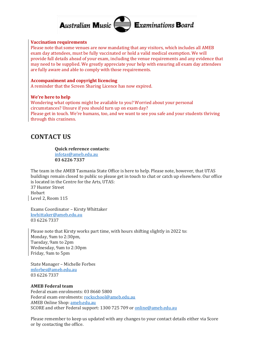

#### **Vaccination requirements**

Please note that some venues are now mandating that any visitors, which includes all AMEB exam day attendees, must be fully vaccinated or hold a valid medical exemption. We will provide full details ahead of your exam, including the venue requirements and any evidence that may need to be supplied. We greatly appreciate your help with ensuring all exam day attendees are fully aware and able to comply with those requirements.

#### **Accompaniment and copyright licencing**

A reminder that the Screen Sharing Licence has now expired.

#### **We're here to help**

Wondering what options might be available to you? Worried about your personal circumstances? Unsure if you should turn up on exam day? Please get in touch. We're humans, too, and we want to see you safe and your students thriving through this craziness.

## <span id="page-20-0"></span>**CONTACT US**

**Quick reference contacts:** [infotas@ameb.edu.au](mailto:infotas@ameb.edu.au) **03 6226 7337**

The team in the AMEB Tasmania State Office is here to help. Please note, however, that UTAS buildings remain closed to public so please get in touch to chat or catch up elsewhere. Our office is located in the Centre for the Arts, UTAS: 37 Hunter Street Hobart Level 2, Room 115

Exams Coordinator – Kirsty Whittaker [kwhittaker@ameb.edu.au](mailto:kwhittaker@ameb.edu.au) 03 6226 7337

Please note that Kirsty works part time, with hours shifting slightly in 2022 to: Monday, 9am to 2:30pm, Tuesday, 9am to 2pm Wednesday, 9am to 2:30pm Friday, 9am to 5pm

State Manager – Michelle Forbes [mforbes@ameb.edu.au](mailto:mforbes@ameb.edu.au) 03 6226 7337

#### **AMEB Federal team**

Federal exam enrolments: 03 8660 5800 Federal exam enrolments: [rockschool@ameb.edu.au](mailto:rockschool@ameb.edu.au) AMEB Online Shop[: ameb.edu.au](https://www.ameb.edu.au/) SCORE and other Federal support: 1300 725 709 or [online@ameb.edu.au](mailto:online@ameb.edu.au)

Please remember to keep us updated with any changes to your contact details either via Score or by contacting the office.